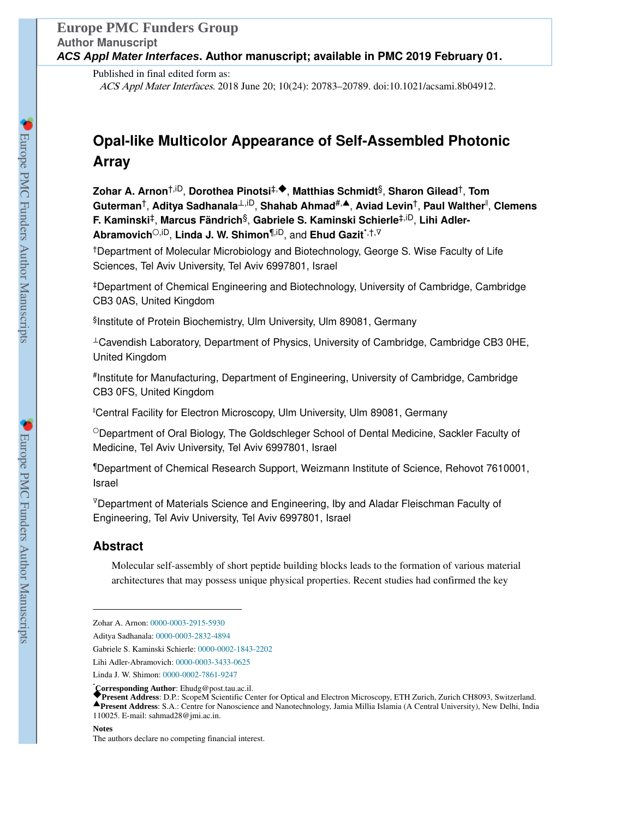Published in final edited form as: ACS Appl Mater Interfaces. 2018 June 20; 10(24): 20783–20789. doi:10.1021/acsami.8b04912.

# **Opal-like Multicolor Appearance of Self-Assembled Photonic Array**

**Zohar A. Arnon**†,iD, **Dorothea Pinotsi**‡,◆, **Matthias Schmidt**§, **Sharon Gilead**†, **Tom Guterman**†, **Aditya Sadhanala**⊥,iD, **Shahab Ahmad**#,▲, **Aviad Levin**†, **Paul Walther**‖ , **Clemens F. Kaminski**‡, **Marcus Fändrich**§, **Gabriele S. Kaminski Schierle**‡,iD, **Lihi Adler-Abramovich**○,iD, **Linda J. W. Shimon**¶,iD, and **Ehud Gazit**\*,†,<sup>∇</sup>

†Department of Molecular Microbiology and Biotechnology, George S. Wise Faculty of Life Sciences, Tel Aviv University, Tel Aviv 6997801, Israel

‡Department of Chemical Engineering and Biotechnology, University of Cambridge, Cambridge CB3 0AS, United Kingdom

§ Institute of Protein Biochemistry, Ulm University, Ulm 89081, Germany

<sup>⊥</sup>Cavendish Laboratory, Department of Physics, University of Cambridge, Cambridge CB3 0HE, United Kingdom

# Institute for Manufacturing, Department of Engineering, University of Cambridge, Cambridge CB3 0FS, United Kingdom

‖Central Facility for Electron Microscopy, Ulm University, Ulm 89081, Germany

○Department of Oral Biology, The Goldschleger School of Dental Medicine, Sackler Faculty of Medicine, Tel Aviv University, Tel Aviv 6997801, Israel

¶Department of Chemical Research Support, Weizmann Institute of Science, Rehovot 7610001, Israel

<sup>∇</sup>Department of Materials Science and Engineering, Iby and Aladar Fleischman Faculty of Engineering, Tel Aviv University, Tel Aviv 6997801, Israel

# **Abstract**

Molecular self-assembly of short peptide building blocks leads to the formation of various material architectures that may possess unique physical properties. Recent studies had confirmed the key

Gabriele S. Kaminski Schierle: 0000-0002-1843-2202

Zohar A. Arnon: 0000-0003-2915-5930

Aditya Sadhanala: 0000-0003-2832-4894

Lihi Adler-Abramovich: 0000-0003-3433-0625

Linda J. W. Shimon: 0000-0002-7861-9247

<sup>\*</sup>**Corresponding Author**: Ehudg@post.tau.ac.il. ◆**Present Address**: D.P.: ScopeM Scientific Center for Optical and Electron Microscopy, ETH Zurich, Zurich CH8093, Switzerland. ▲**Present Address**: S.A.: Centre for Nanoscience and Nanotechnology, Jamia Millia Islamia (A Central University), New Delhi, India 110025. E-mail: sahmad28@jmi.ac.in.

The authors declare no competing financial interest.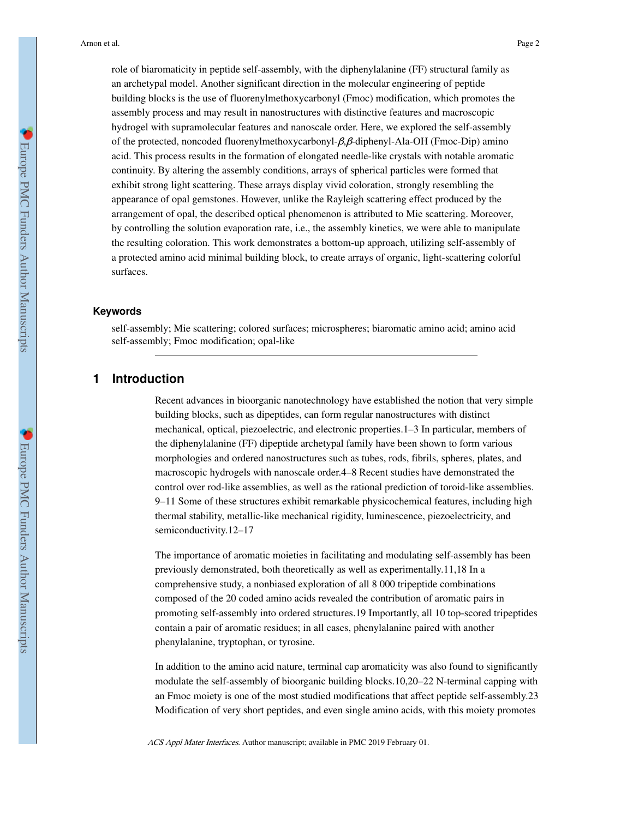role of biaromaticity in peptide self-assembly, with the diphenylalanine (FF) structural family as an archetypal model. Another significant direction in the molecular engineering of peptide building blocks is the use of fluorenylmethoxycarbonyl (Fmoc) modification, which promotes the assembly process and may result in nanostructures with distinctive features and macroscopic hydrogel with supramolecular features and nanoscale order. Here, we explored the self-assembly of the protected, noncoded fluorenylmethoxycarbonyl-β,β-diphenyl-Ala-OH (Fmoc-Dip) amino acid. This process results in the formation of elongated needle-like crystals with notable aromatic continuity. By altering the assembly conditions, arrays of spherical particles were formed that exhibit strong light scattering. These arrays display vivid coloration, strongly resembling the appearance of opal gemstones. However, unlike the Rayleigh scattering effect produced by the arrangement of opal, the described optical phenomenon is attributed to Mie scattering. Moreover, by controlling the solution evaporation rate, i.e., the assembly kinetics, we were able to manipulate the resulting coloration. This work demonstrates a bottom-up approach, utilizing self-assembly of a protected amino acid minimal building block, to create arrays of organic, light-scattering colorful surfaces.

#### **Keywords**

self-assembly; Mie scattering; colored surfaces; microspheres; biaromatic amino acid; amino acid self-assembly; Fmoc modification; opal-like

## **1 Introduction**

Recent advances in bioorganic nanotechnology have established the notion that very simple building blocks, such as dipeptides, can form regular nanostructures with distinct mechanical, optical, piezoelectric, and electronic properties.1–3 In particular, members of the diphenylalanine (FF) dipeptide archetypal family have been shown to form various morphologies and ordered nanostructures such as tubes, rods, fibrils, spheres, plates, and macroscopic hydrogels with nanoscale order.4–8 Recent studies have demonstrated the control over rod-like assemblies, as well as the rational prediction of toroid-like assemblies. 9–11 Some of these structures exhibit remarkable physicochemical features, including high thermal stability, metallic-like mechanical rigidity, luminescence, piezoelectricity, and semiconductivity.12–17

The importance of aromatic moieties in facilitating and modulating self-assembly has been previously demonstrated, both theoretically as well as experimentally.11,18 In a comprehensive study, a nonbiased exploration of all 8 000 tripeptide combinations composed of the 20 coded amino acids revealed the contribution of aromatic pairs in promoting self-assembly into ordered structures.19 Importantly, all 10 top-scored tripeptides contain a pair of aromatic residues; in all cases, phenylalanine paired with another phenylalanine, tryptophan, or tyrosine.

In addition to the amino acid nature, terminal cap aromaticity was also found to significantly modulate the self-assembly of bioorganic building blocks.10,20–22 N-terminal capping with an Fmoc moiety is one of the most studied modifications that affect peptide self-assembly.23 Modification of very short peptides, and even single amino acids, with this moiety promotes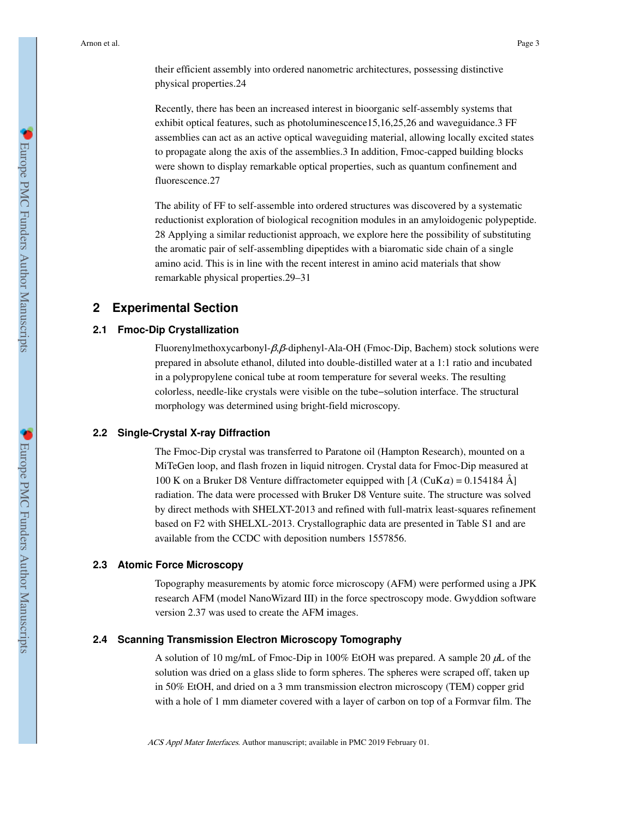their efficient assembly into ordered nanometric architectures, possessing distinctive physical properties.24

Recently, there has been an increased interest in bioorganic self-assembly systems that exhibit optical features, such as photoluminescence15,16,25,26 and waveguidance.3 FF assemblies can act as an active optical waveguiding material, allowing locally excited states to propagate along the axis of the assemblies.3 In addition, Fmoc-capped building blocks were shown to display remarkable optical properties, such as quantum confinement and fluorescence.27

The ability of FF to self-assemble into ordered structures was discovered by a systematic reductionist exploration of biological recognition modules in an amyloidogenic polypeptide. 28 Applying a similar reductionist approach, we explore here the possibility of substituting the aromatic pair of self-assembling dipeptides with a biaromatic side chain of a single amino acid. This is in line with the recent interest in amino acid materials that show remarkable physical properties.29–31

# **2 Experimental Section**

## **2.1 Fmoc-Dip Crystallization**

Fluorenylmethoxycarbonyl-β,β-diphenyl-Ala-OH (Fmoc-Dip, Bachem) stock solutions were prepared in absolute ethanol, diluted into double-distilled water at a 1:1 ratio and incubated in a polypropylene conical tube at room temperature for several weeks. The resulting colorless, needle-like crystals were visible on the tube−solution interface. The structural morphology was determined using bright-field microscopy.

## **2.2 Single-Crystal X-ray Diffraction**

The Fmoc-Dip crystal was transferred to Paratone oil (Hampton Research), mounted on a MiTeGen loop, and flash frozen in liquid nitrogen. Crystal data for Fmoc-Dip measured at 100 K on a Bruker D8 Venture diffractometer equipped with  $[\lambda (C u Ka) = 0.154184 \text{ Å}]$ radiation. The data were processed with Bruker D8 Venture suite. The structure was solved by direct methods with SHELXT-2013 and refined with full-matrix least-squares refinement based on F2 with SHELXL-2013. Crystallographic data are presented in Table S1 and are available from the CCDC with deposition numbers 1557856.

#### **2.3 Atomic Force Microscopy**

Topography measurements by atomic force microscopy (AFM) were performed using a JPK research AFM (model NanoWizard III) in the force spectroscopy mode. Gwyddion software version 2.37 was used to create the AFM images.

# **2.4 Scanning Transmission Electron Microscopy Tomography**

A solution of 10 mg/mL of Fmoc-Dip in 100% EtOH was prepared. A sample 20 μL of the solution was dried on a glass slide to form spheres. The spheres were scraped off, taken up in 50% EtOH, and dried on a 3 mm transmission electron microscopy (TEM) copper grid with a hole of 1 mm diameter covered with a layer of carbon on top of a Formvar film. The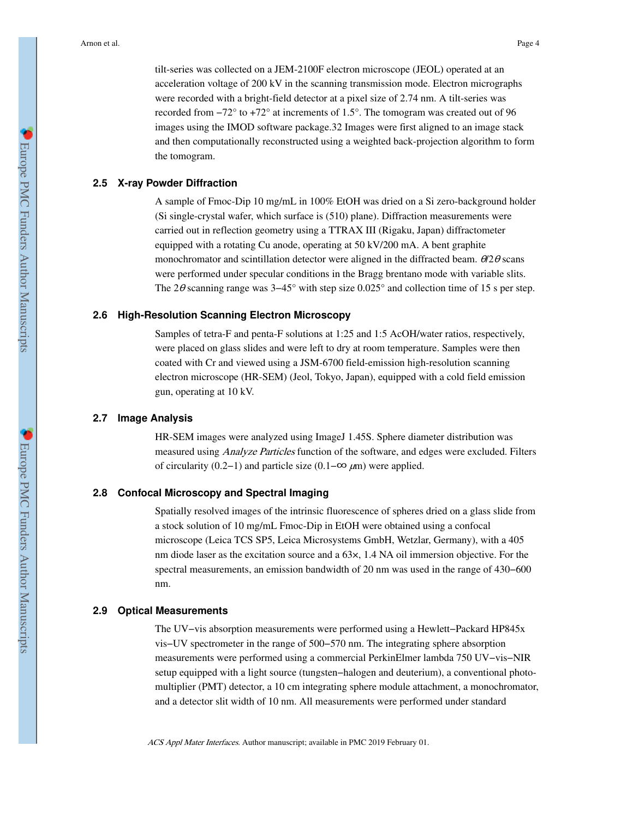tilt-series was collected on a JEM-2100F electron microscope (JEOL) operated at an acceleration voltage of 200 kV in the scanning transmission mode. Electron micrographs were recorded with a bright-field detector at a pixel size of 2.74 nm. A tilt-series was recorded from −72° to +72° at increments of 1.5°. The tomogram was created out of 96 images using the IMOD software package.32 Images were first aligned to an image stack and then computationally reconstructed using a weighted back-projection algorithm to form the tomogram.

## **2.5 X-ray Powder Diffraction**

A sample of Fmoc-Dip 10 mg/mL in 100% EtOH was dried on a Si zero-background holder (Si single-crystal wafer, which surface is (510) plane). Diffraction measurements were carried out in reflection geometry using a TTRAX III (Rigaku, Japan) diffractometer equipped with a rotating Cu anode, operating at 50 kV/200 mA. A bent graphite monochromator and scintillation detector were aligned in the diffracted beam.  $\theta/2\theta$  scans were performed under specular conditions in the Bragg brentano mode with variable slits. The 2θ scanning range was 3–45° with step size 0.025° and collection time of 15 s per step.

#### **2.6 High-Resolution Scanning Electron Microscopy**

Samples of tetra-F and penta-F solutions at 1:25 and 1:5 AcOH/water ratios, respectively, were placed on glass slides and were left to dry at room temperature. Samples were then coated with Cr and viewed using a JSM-6700 field-emission high-resolution scanning electron microscope (HR-SEM) (Jeol, Tokyo, Japan), equipped with a cold field emission gun, operating at 10 kV.

#### **2.7 Image Analysis**

HR-SEM images were analyzed using ImageJ 1.45S. Sphere diameter distribution was measured using *Analyze Particles* function of the software, and edges were excluded. Filters of circularity (0.2−1) and particle size (0.1–∞  $\mu$ m) were applied.

## **2.8 Confocal Microscopy and Spectral Imaging**

Spatially resolved images of the intrinsic fluorescence of spheres dried on a glass slide from a stock solution of 10 mg/mL Fmoc-Dip in EtOH were obtained using a confocal microscope (Leica TCS SP5, Leica Microsystems GmbH, Wetzlar, Germany), with a 405 nm diode laser as the excitation source and a 63×, 1.4 NA oil immersion objective. For the spectral measurements, an emission bandwidth of 20 nm was used in the range of 430−600 nm.

#### **2.9 Optical Measurements**

The UV−vis absorption measurements were performed using a Hewlett−Packard HP845x vis−UV spectrometer in the range of 500−570 nm. The integrating sphere absorption measurements were performed using a commercial PerkinElmer lambda 750 UV−vis−NIR setup equipped with a light source (tungsten−halogen and deuterium), a conventional photomultiplier (PMT) detector, a 10 cm integrating sphere module attachment, a monochromator, and a detector slit width of 10 nm. All measurements were performed under standard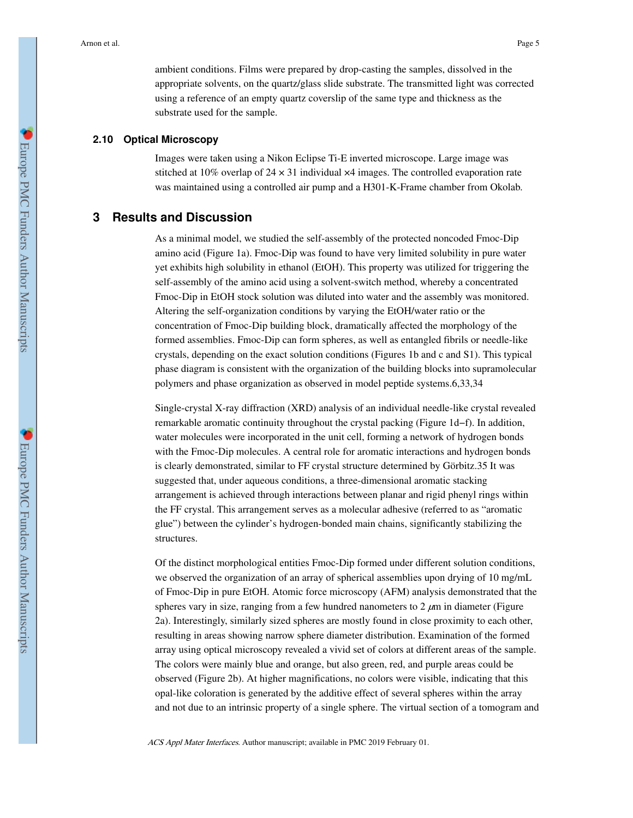ambient conditions. Films were prepared by drop-casting the samples, dissolved in the appropriate solvents, on the quartz/glass slide substrate. The transmitted light was corrected using a reference of an empty quartz coverslip of the same type and thickness as the substrate used for the sample.

#### **2.10 Optical Microscopy**

Images were taken using a Nikon Eclipse Ti-E inverted microscope. Large image was stitched at 10% overlap of  $24 \times 31$  individual  $\times 4$  images. The controlled evaporation rate was maintained using a controlled air pump and a H301-K-Frame chamber from Okolab.

# **3 Results and Discussion**

As a minimal model, we studied the self-assembly of the protected noncoded Fmoc-Dip amino acid (Figure 1a). Fmoc-Dip was found to have very limited solubility in pure water yet exhibits high solubility in ethanol (EtOH). This property was utilized for triggering the self-assembly of the amino acid using a solvent-switch method, whereby a concentrated Fmoc-Dip in EtOH stock solution was diluted into water and the assembly was monitored. Altering the self-organization conditions by varying the EtOH/water ratio or the concentration of Fmoc-Dip building block, dramatically affected the morphology of the formed assemblies. Fmoc-Dip can form spheres, as well as entangled fibrils or needle-like crystals, depending on the exact solution conditions (Figures 1b and c and S1). This typical phase diagram is consistent with the organization of the building blocks into supramolecular polymers and phase organization as observed in model peptide systems.6,33,34

Single-crystal X-ray diffraction (XRD) analysis of an individual needle-like crystal revealed remarkable aromatic continuity throughout the crystal packing (Figure 1d−f). In addition, water molecules were incorporated in the unit cell, forming a network of hydrogen bonds with the Fmoc-Dip molecules. A central role for aromatic interactions and hydrogen bonds is clearly demonstrated, similar to FF crystal structure determined by Görbitz.35 It was suggested that, under aqueous conditions, a three-dimensional aromatic stacking arrangement is achieved through interactions between planar and rigid phenyl rings within the FF crystal. This arrangement serves as a molecular adhesive (referred to as "aromatic glue") between the cylinder's hydrogen-bonded main chains, significantly stabilizing the structures.

Of the distinct morphological entities Fmoc-Dip formed under different solution conditions, we observed the organization of an array of spherical assemblies upon drying of 10 mg/mL of Fmoc-Dip in pure EtOH. Atomic force microscopy (AFM) analysis demonstrated that the spheres vary in size, ranging from a few hundred nanometers to  $2 \mu m$  in diameter (Figure 2a). Interestingly, similarly sized spheres are mostly found in close proximity to each other, resulting in areas showing narrow sphere diameter distribution. Examination of the formed array using optical microscopy revealed a vivid set of colors at different areas of the sample. The colors were mainly blue and orange, but also green, red, and purple areas could be observed (Figure 2b). At higher magnifications, no colors were visible, indicating that this opal-like coloration is generated by the additive effect of several spheres within the array and not due to an intrinsic property of a single sphere. The virtual section of a tomogram and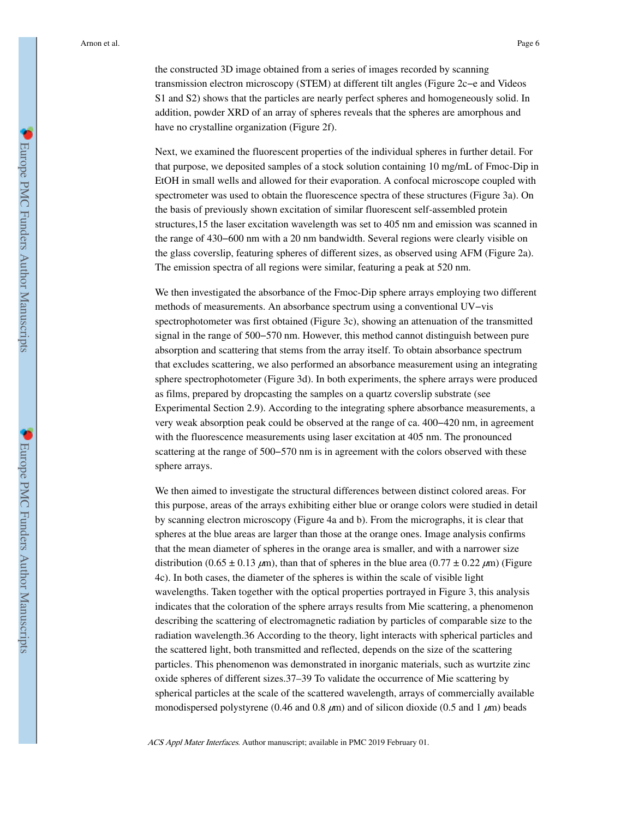the constructed 3D image obtained from a series of images recorded by scanning transmission electron microscopy (STEM) at different tilt angles (Figure 2c−e and Videos S1 and S2) shows that the particles are nearly perfect spheres and homogeneously solid. In addition, powder XRD of an array of spheres reveals that the spheres are amorphous and have no crystalline organization (Figure 2f).

Next, we examined the fluorescent properties of the individual spheres in further detail. For that purpose, we deposited samples of a stock solution containing 10 mg/mL of Fmoc-Dip in EtOH in small wells and allowed for their evaporation. A confocal microscope coupled with spectrometer was used to obtain the fluorescence spectra of these structures (Figure 3a). On the basis of previously shown excitation of similar fluorescent self-assembled protein structures,15 the laser excitation wavelength was set to 405 nm and emission was scanned in the range of 430−600 nm with a 20 nm bandwidth. Several regions were clearly visible on the glass coverslip, featuring spheres of different sizes, as observed using AFM (Figure 2a). The emission spectra of all regions were similar, featuring a peak at 520 nm.

We then investigated the absorbance of the Fmoc-Dip sphere arrays employing two different methods of measurements. An absorbance spectrum using a conventional UV−vis spectrophotometer was first obtained (Figure 3c), showing an attenuation of the transmitted signal in the range of 500−570 nm. However, this method cannot distinguish between pure absorption and scattering that stems from the array itself. To obtain absorbance spectrum that excludes scattering, we also performed an absorbance measurement using an integrating sphere spectrophotometer (Figure 3d). In both experiments, the sphere arrays were produced as films, prepared by dropcasting the samples on a quartz coverslip substrate (see Experimental Section 2.9). According to the integrating sphere absorbance measurements, a very weak absorption peak could be observed at the range of ca. 400−420 nm, in agreement with the fluorescence measurements using laser excitation at 405 nm. The pronounced scattering at the range of 500–570 nm is in agreement with the colors observed with these sphere arrays.

We then aimed to investigate the structural differences between distinct colored areas. For this purpose, areas of the arrays exhibiting either blue or orange colors were studied in detail by scanning electron microscopy (Figure 4a and b). From the micrographs, it is clear that spheres at the blue areas are larger than those at the orange ones. Image analysis confirms that the mean diameter of spheres in the orange area is smaller, and with a narrower size distribution (0.65  $\pm$  0.13  $\mu$ m), than that of spheres in the blue area (0.77  $\pm$  0.22  $\mu$ m) (Figure 4c). In both cases, the diameter of the spheres is within the scale of visible light wavelengths. Taken together with the optical properties portrayed in Figure 3, this analysis indicates that the coloration of the sphere arrays results from Mie scattering, a phenomenon describing the scattering of electromagnetic radiation by particles of comparable size to the radiation wavelength.36 According to the theory, light interacts with spherical particles and the scattered light, both transmitted and reflected, depends on the size of the scattering particles. This phenomenon was demonstrated in inorganic materials, such as wurtzite zinc oxide spheres of different sizes.37–39 To validate the occurrence of Mie scattering by spherical particles at the scale of the scattered wavelength, arrays of commercially available monodispersed polystyrene (0.46 and 0.8  $\mu$ m) and of silicon dioxide (0.5 and 1  $\mu$ m) beads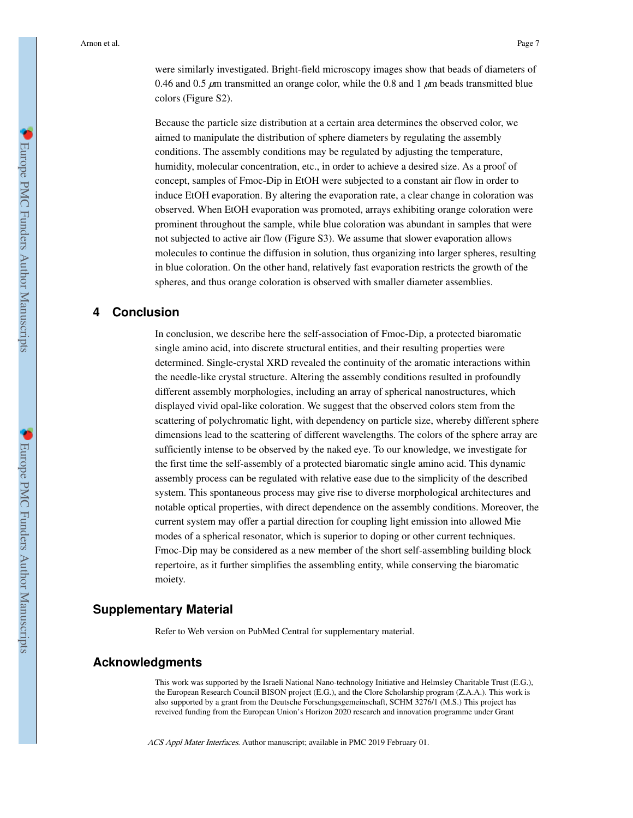were similarly investigated. Bright-field microscopy images show that beads of diameters of 0.46 and 0.5  $\mu$ m transmitted an orange color, while the 0.8 and 1  $\mu$ m beads transmitted blue colors (Figure S2).

Because the particle size distribution at a certain area determines the observed color, we aimed to manipulate the distribution of sphere diameters by regulating the assembly conditions. The assembly conditions may be regulated by adjusting the temperature, humidity, molecular concentration, etc., in order to achieve a desired size. As a proof of concept, samples of Fmoc-Dip in EtOH were subjected to a constant air flow in order to induce EtOH evaporation. By altering the evaporation rate, a clear change in coloration was observed. When EtOH evaporation was promoted, arrays exhibiting orange coloration were prominent throughout the sample, while blue coloration was abundant in samples that were not subjected to active air flow (Figure S3). We assume that slower evaporation allows molecules to continue the diffusion in solution, thus organizing into larger spheres, resulting in blue coloration. On the other hand, relatively fast evaporation restricts the growth of the spheres, and thus orange coloration is observed with smaller diameter assemblies.

# **4 Conclusion**

In conclusion, we describe here the self-association of Fmoc-Dip, a protected biaromatic single amino acid, into discrete structural entities, and their resulting properties were determined. Single-crystal XRD revealed the continuity of the aromatic interactions within the needle-like crystal structure. Altering the assembly conditions resulted in profoundly different assembly morphologies, including an array of spherical nanostructures, which displayed vivid opal-like coloration. We suggest that the observed colors stem from the scattering of polychromatic light, with dependency on particle size, whereby different sphere dimensions lead to the scattering of different wavelengths. The colors of the sphere array are sufficiently intense to be observed by the naked eye. To our knowledge, we investigate for the first time the self-assembly of a protected biaromatic single amino acid. This dynamic assembly process can be regulated with relative ease due to the simplicity of the described system. This spontaneous process may give rise to diverse morphological architectures and notable optical properties, with direct dependence on the assembly conditions. Moreover, the current system may offer a partial direction for coupling light emission into allowed Mie modes of a spherical resonator, which is superior to doping or other current techniques. Fmoc-Dip may be considered as a new member of the short self-assembling building block repertoire, as it further simplifies the assembling entity, while conserving the biaromatic moiety.

# **Supplementary Material**

Refer to Web version on PubMed Central for supplementary material.

# **Acknowledgments**

This work was supported by the Israeli National Nano-technology Initiative and Helmsley Charitable Trust (E.G.), the European Research Council BISON project (E.G.), and the Clore Scholarship program (Z.A.A.). This work is also supported by a grant from the Deutsche Forschungsgemeinschaft, SCHM 3276/1 (M.S.) This project has reveived funding from the European Union's Horizon 2020 research and innovation programme under Grant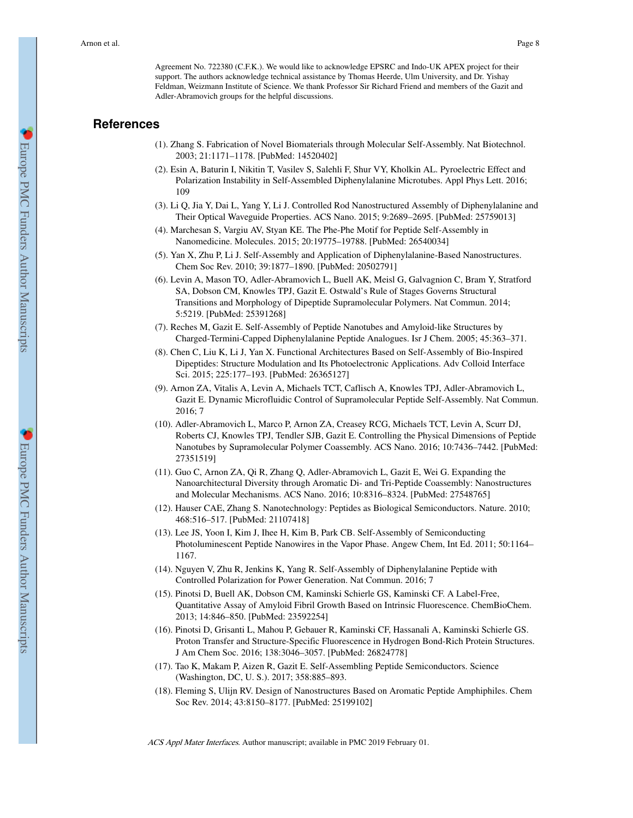Agreement No. 722380 (C.F.K.). We would like to acknowledge EPSRC and Indo-UK APEX project for their support. The authors acknowledge technical assistance by Thomas Heerde, Ulm University, and Dr. Yishay Feldman, Weizmann Institute of Science. We thank Professor Sir Richard Friend and members of the Gazit and Adler-Abramovich groups for the helpful discussions.

## **References**

- (1). Zhang S. Fabrication of Novel Biomaterials through Molecular Self-Assembly. Nat Biotechnol. 2003; 21:1171–1178. [PubMed: 14520402]
- (2). Esin A, Baturin I, Nikitin T, Vasilev S, Salehli F, Shur VY, Kholkin AL. Pyroelectric Effect and Polarization Instability in Self-Assembled Diphenylalanine Microtubes. Appl Phys Lett. 2016; 109
- (3). Li Q, Jia Y, Dai L, Yang Y, Li J. Controlled Rod Nanostructured Assembly of Diphenylalanine and Their Optical Waveguide Properties. ACS Nano. 2015; 9:2689–2695. [PubMed: 25759013]
- (4). Marchesan S, Vargiu AV, Styan KE. The Phe-Phe Motif for Peptide Self-Assembly in Nanomedicine. Molecules. 2015; 20:19775–19788. [PubMed: 26540034]
- (5). Yan X, Zhu P, Li J. Self-Assembly and Application of Diphenylalanine-Based Nanostructures. Chem Soc Rev. 2010; 39:1877–1890. [PubMed: 20502791]
- (6). Levin A, Mason TO, Adler-Abramovich L, Buell AK, Meisl G, Galvagnion C, Bram Y, Stratford SA, Dobson CM, Knowles TPJ, Gazit E. Ostwald's Rule of Stages Governs Structural Transitions and Morphology of Dipeptide Supramolecular Polymers. Nat Commun. 2014; 5:5219. [PubMed: 25391268]
- (7). Reches M, Gazit E. Self-Assembly of Peptide Nanotubes and Amyloid-like Structures by Charged-Termini-Capped Diphenylalanine Peptide Analogues. Isr J Chem. 2005; 45:363–371.
- (8). Chen C, Liu K, Li J, Yan X. Functional Architectures Based on Self-Assembly of Bio-Inspired Dipeptides: Structure Modulation and Its Photoelectronic Applications. Adv Colloid Interface Sci. 2015; 225:177–193. [PubMed: 26365127]
- (9). Arnon ZA, Vitalis A, Levin A, Michaels TCT, Caflisch A, Knowles TPJ, Adler-Abramovich L, Gazit E. Dynamic Microfluidic Control of Supramolecular Peptide Self-Assembly. Nat Commun. 2016; 7
- (10). Adler-Abramovich L, Marco P, Arnon ZA, Creasey RCG, Michaels TCT, Levin A, Scurr DJ, Roberts CJ, Knowles TPJ, Tendler SJB, Gazit E. Controlling the Physical Dimensions of Peptide Nanotubes by Supramolecular Polymer Coassembly. ACS Nano. 2016; 10:7436–7442. [PubMed: 27351519]
- (11). Guo C, Arnon ZA, Qi R, Zhang Q, Adler-Abramovich L, Gazit E, Wei G. Expanding the Nanoarchitectural Diversity through Aromatic Di- and Tri-Peptide Coassembly: Nanostructures and Molecular Mechanisms. ACS Nano. 2016; 10:8316–8324. [PubMed: 27548765]
- (12). Hauser CAE, Zhang S. Nanotechnology: Peptides as Biological Semiconductors. Nature. 2010; 468:516–517. [PubMed: 21107418]
- (13). Lee JS, Yoon I, Kim J, Ihee H, Kim B, Park CB. Self-Assembly of Semiconducting Photoluminescent Peptide Nanowires in the Vapor Phase. Angew Chem, Int Ed. 2011; 50:1164– 1167.
- (14). Nguyen V, Zhu R, Jenkins K, Yang R. Self-Assembly of Diphenylalanine Peptide with Controlled Polarization for Power Generation. Nat Commun. 2016; 7
- (15). Pinotsi D, Buell AK, Dobson CM, Kaminski Schierle GS, Kaminski CF. A Label-Free, Quantitative Assay of Amyloid Fibril Growth Based on Intrinsic Fluorescence. ChemBioChem. 2013; 14:846–850. [PubMed: 23592254]
- (16). Pinotsi D, Grisanti L, Mahou P, Gebauer R, Kaminski CF, Hassanali A, Kaminski Schierle GS. Proton Transfer and Structure-Specific Fluorescence in Hydrogen Bond-Rich Protein Structures. J Am Chem Soc. 2016; 138:3046–3057. [PubMed: 26824778]
- (17). Tao K, Makam P, Aizen R, Gazit E. Self-Assembling Peptide Semiconductors. Science (Washington, DC, U. S.). 2017; 358:885–893.
- (18). Fleming S, Ulijn RV. Design of Nanostructures Based on Aromatic Peptide Amphiphiles. Chem Soc Rev. 2014; 43:8150–8177. [PubMed: 25199102]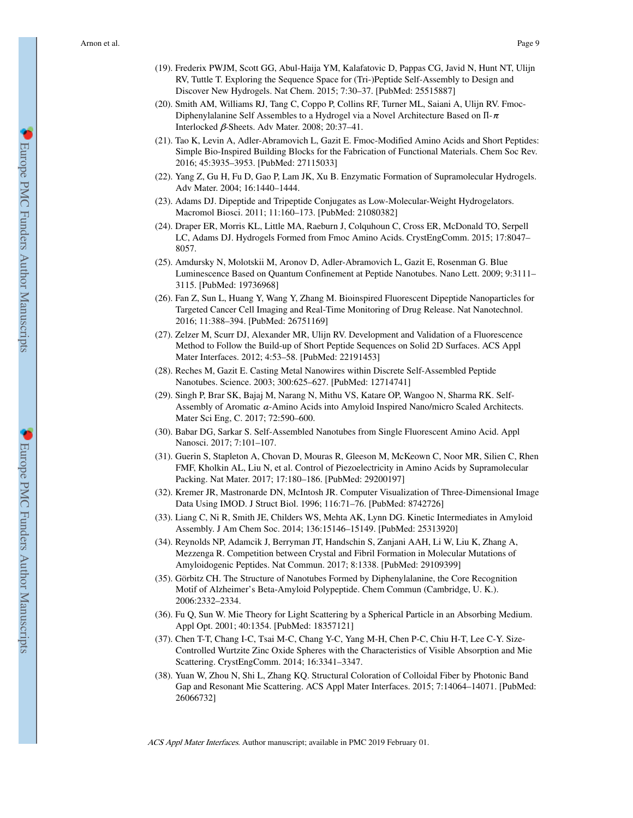- (19). Frederix PWJM, Scott GG, Abul-Haija YM, Kalafatovic D, Pappas CG, Javid N, Hunt NT, Ulijn RV, Tuttle T. Exploring the Sequence Space for (Tri-)Peptide Self-Assembly to Design and Discover New Hydrogels. Nat Chem. 2015; 7:30–37. [PubMed: 25515887]
- (20). Smith AM, Williams RJ, Tang C, Coppo P, Collins RF, Turner ML, Saiani A, Ulijn RV. Fmoc-Diphenylalanine Self Assembles to a Hydrogel via a Novel Architecture Based on  $\Pi$ - $\pi$ Interlocked β-Sheets. Adv Mater. 2008; 20:37–41.
- (21). Tao K, Levin A, Adler-Abramovich L, Gazit E. Fmoc-Modified Amino Acids and Short Peptides: Simple Bio-Inspired Building Blocks for the Fabrication of Functional Materials. Chem Soc Rev. 2016; 45:3935–3953. [PubMed: 27115033]
- (22). Yang Z, Gu H, Fu D, Gao P, Lam JK, Xu B. Enzymatic Formation of Supramolecular Hydrogels. Adv Mater. 2004; 16:1440–1444.
- (23). Adams DJ. Dipeptide and Tripeptide Conjugates as Low-Molecular-Weight Hydrogelators. Macromol Biosci. 2011; 11:160–173. [PubMed: 21080382]
- (24). Draper ER, Morris KL, Little MA, Raeburn J, Colquhoun C, Cross ER, McDonald TO, Serpell LC, Adams DJ. Hydrogels Formed from Fmoc Amino Acids. CrystEngComm. 2015; 17:8047– 8057.
- (25). Amdursky N, Molotskii M, Aronov D, Adler-Abramovich L, Gazit E, Rosenman G. Blue Luminescence Based on Quantum Confinement at Peptide Nanotubes. Nano Lett. 2009; 9:3111– 3115. [PubMed: 19736968]
- (26). Fan Z, Sun L, Huang Y, Wang Y, Zhang M. Bioinspired Fluorescent Dipeptide Nanoparticles for Targeted Cancer Cell Imaging and Real-Time Monitoring of Drug Release. Nat Nanotechnol. 2016; 11:388–394. [PubMed: 26751169]
- (27). Zelzer M, Scurr DJ, Alexander MR, Ulijn RV. Development and Validation of a Fluorescence Method to Follow the Build-up of Short Peptide Sequences on Solid 2D Surfaces. ACS Appl Mater Interfaces. 2012; 4:53–58. [PubMed: 22191453]
- (28). Reches M, Gazit E. Casting Metal Nanowires within Discrete Self-Assembled Peptide Nanotubes. Science. 2003; 300:625–627. [PubMed: 12714741]
- (29). Singh P, Brar SK, Bajaj M, Narang N, Mithu VS, Katare OP, Wangoo N, Sharma RK. Self-Assembly of Aromatic α-Amino Acids into Amyloid Inspired Nano/micro Scaled Architects. Mater Sci Eng, C. 2017; 72:590–600.
- (30). Babar DG, Sarkar S. Self-Assembled Nanotubes from Single Fluorescent Amino Acid. Appl Nanosci. 2017; 7:101–107.
- (31). Guerin S, Stapleton A, Chovan D, Mouras R, Gleeson M, McKeown C, Noor MR, Silien C, Rhen FMF, Kholkin AL, Liu N, et al. Control of Piezoelectricity in Amino Acids by Supramolecular Packing. Nat Mater. 2017; 17:180–186. [PubMed: 29200197]
- (32). Kremer JR, Mastronarde DN, McIntosh JR. Computer Visualization of Three-Dimensional Image Data Using IMOD. J Struct Biol. 1996; 116:71–76. [PubMed: 8742726]
- (33). Liang C, Ni R, Smith JE, Childers WS, Mehta AK, Lynn DG. Kinetic Intermediates in Amyloid Assembly. J Am Chem Soc. 2014; 136:15146–15149. [PubMed: 25313920]
- (34). Reynolds NP, Adamcik J, Berryman JT, Handschin S, Zanjani AAH, Li W, Liu K, Zhang A, Mezzenga R. Competition between Crystal and Fibril Formation in Molecular Mutations of Amyloidogenic Peptides. Nat Commun. 2017; 8:1338. [PubMed: 29109399]
- (35). Görbitz CH. The Structure of Nanotubes Formed by Diphenylalanine, the Core Recognition Motif of Alzheimer's Beta-Amyloid Polypeptide. Chem Commun (Cambridge, U. K.). 2006:2332–2334.
- (36). Fu Q, Sun W. Mie Theory for Light Scattering by a Spherical Particle in an Absorbing Medium. Appl Opt. 2001; 40:1354. [PubMed: 18357121]
- (37). Chen T-T, Chang I-C, Tsai M-C, Chang Y-C, Yang M-H, Chen P-C, Chiu H-T, Lee C-Y. Size-Controlled Wurtzite Zinc Oxide Spheres with the Characteristics of Visible Absorption and Mie Scattering. CrystEngComm. 2014; 16:3341–3347.
- (38). Yuan W, Zhou N, Shi L, Zhang KQ. Structural Coloration of Colloidal Fiber by Photonic Band Gap and Resonant Mie Scattering. ACS Appl Mater Interfaces. 2015; 7:14064–14071. [PubMed: 26066732]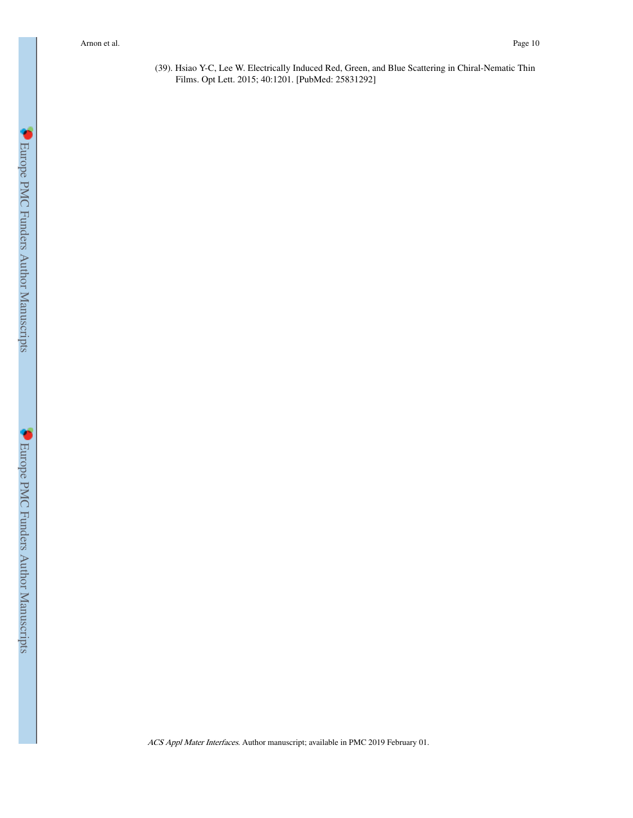(39). Hsiao Y-C, Lee W. Electrically Induced Red, Green, and Blue Scattering in Chiral-Nematic Thin Films. Opt Lett. 2015; 40:1201. [PubMed: 25831292]

**C** Europe PMC Funders Author Manuscripts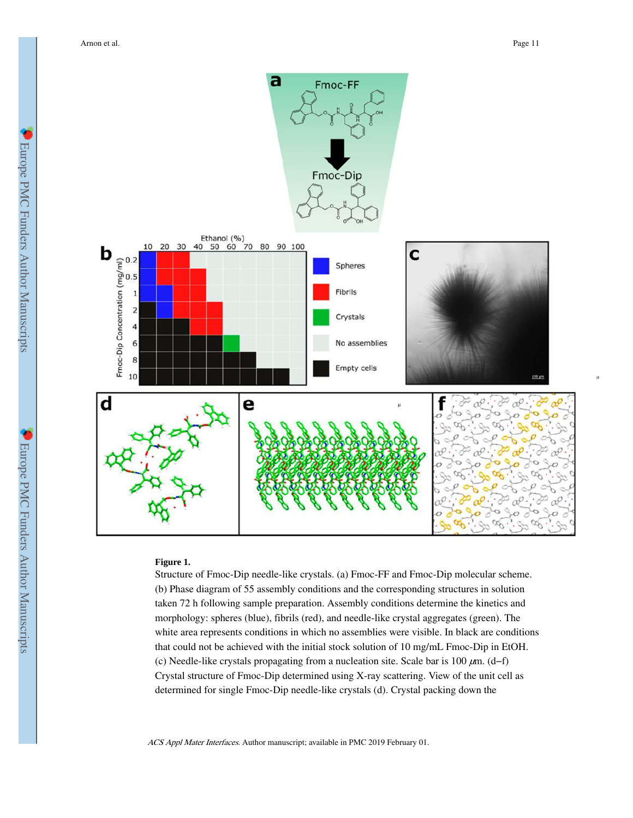

## **Figure 1.**

Structure of Fmoc-Dip needle-like crystals. (a) Fmoc-FF and Fmoc-Dip molecular scheme. (b) Phase diagram of 55 assembly conditions and the corresponding structures in solution taken 72 h following sample preparation. Assembly conditions determine the kinetics and morphology: spheres (blue), fibrils (red), and needle-like crystal aggregates (green). The white area represents conditions in which no assemblies were visible. In black are conditions that could not be achieved with the initial stock solution of 10 mg/mL Fmoc-Dip in EtOH. (c) Needle-like crystals propagating from a nucleation site. Scale bar is 100 μm. (d−f) Crystal structure of Fmoc-Dip determined using X-ray scattering. View of the unit cell as determined for single Fmoc-Dip needle-like crystals (d). Crystal packing down the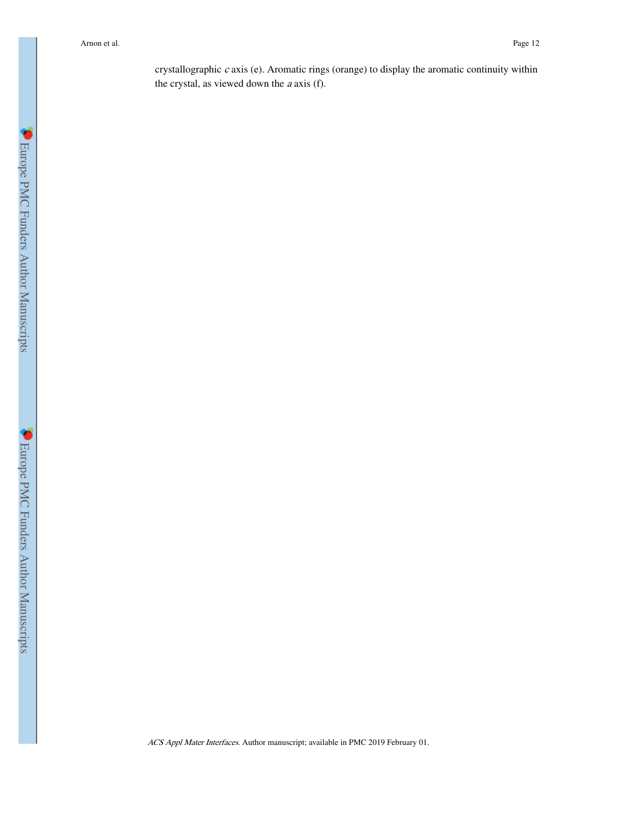crystallographic c axis (e). Aromatic rings (orange) to display the aromatic continuity within the crystal, as viewed down the  $a$  axis (f).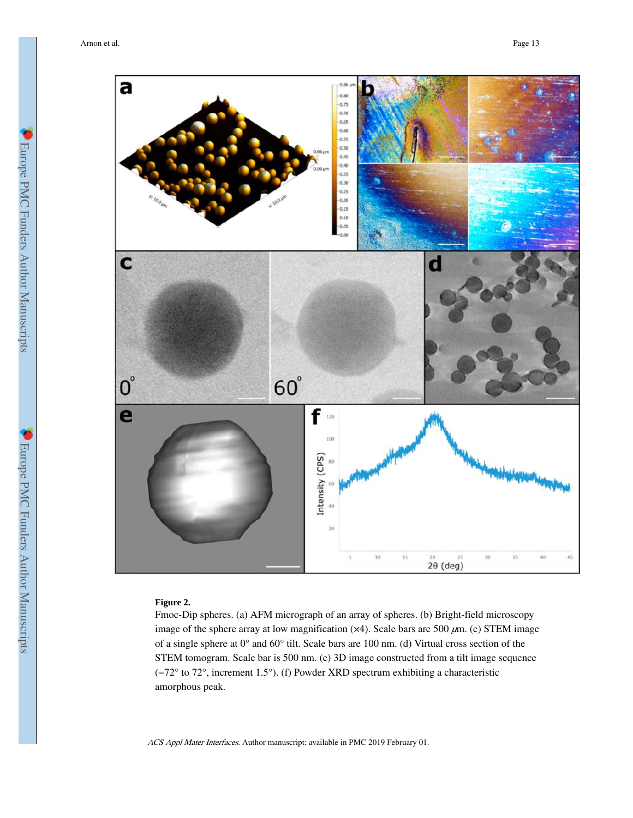

## **Figure 2.**

Fmoc-Dip spheres. (a) AFM micrograph of an array of spheres. (b) Bright-field microscopy image of the sphere array at low magnification  $(x4)$ . Scale bars are 500  $\mu$ m. (c) STEM image of a single sphere at 0° and 60° tilt. Scale bars are 100 nm. (d) Virtual cross section of the STEM tomogram. Scale bar is 500 nm. (e) 3D image constructed from a tilt image sequence (−72° to 72°, increment 1.5°). (f) Powder XRD spectrum exhibiting a characteristic amorphous peak.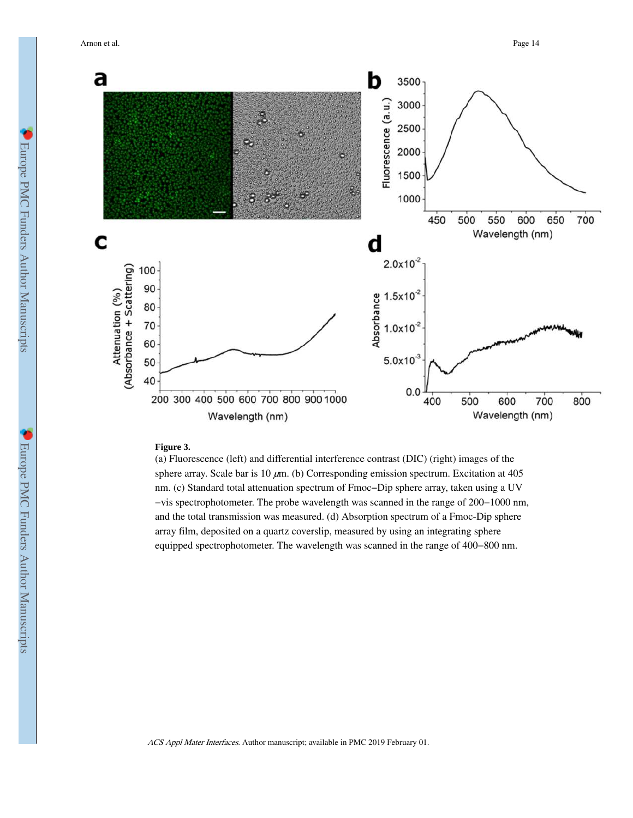

#### **Figure 3.**

(a) Fluorescence (left) and differential interference contrast (DIC) (right) images of the sphere array. Scale bar is 10  $\mu$ m. (b) Corresponding emission spectrum. Excitation at 405 nm. (c) Standard total attenuation spectrum of Fmoc−Dip sphere array, taken using a UV −vis spectrophotometer. The probe wavelength was scanned in the range of 200−1000 nm, and the total transmission was measured. (d) Absorption spectrum of a Fmoc-Dip sphere array film, deposited on a quartz coverslip, measured by using an integrating sphere equipped spectrophotometer. The wavelength was scanned in the range of 400−800 nm.